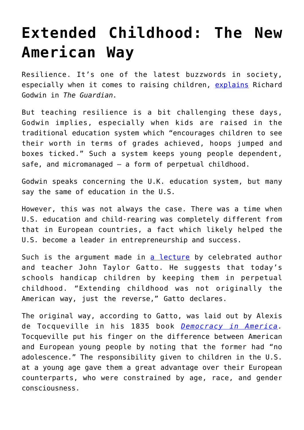## **[Extended Childhood: The New](https://intellectualtakeout.org/2019/06/extended-childhood-the-new-american-way/) [American Way](https://intellectualtakeout.org/2019/06/extended-childhood-the-new-american-way/)**

Resilience. It's one of the latest buzzwords in society, especially when it comes to raising children, [explains](https://www.theguardian.com/commentisfree/2019/may/31/schoolchildren-resilience-education-secretary-pupils) Richard Godwin in *The Guardian.*

But teaching resilience is a bit challenging these days, Godwin implies, especially when kids are raised in the traditional education system which "encourages children to see their worth in terms of grades achieved, hoops jumped and boxes ticked." Such a system keeps young people dependent, safe, and micromanaged – a form of perpetual childhood.

Godwin speaks concerning the U.K. education system, but many say the same of education in the U.S.

However, this was not always the case. There was a time when U.S. education and child-rearing was completely different from that in European countries, a fact which likely helped the U.S. become a leader in entrepreneurship and success.

Such is the argument made in [a lecture](https://archive.org/details/TheParadoxOfExtendedChildhood-JohnTaylorGatto) by celebrated author and teacher John Taylor Gatto. He suggests that today's schools handicap children by keeping them in perpetual childhood. "Extending childhood was not originally the American way, just the reverse," Gatto declares.

The original way, according to Gatto, was laid out by Alexis de Tocqueville in his 1835 book *[Democracy in America.](https://www.amazon.com/gp/product/0226805360/ref=as_li_qf_asin_il_tl?ie=UTF8&tag=intelltakeo0d-20&creative=9325&linkCode=as2&creativeASIN=0226805360&linkId=6e75b8c4ef090c52f20b70067338da00)* Tocqueville put his finger on the difference between American and European young people by noting that the former had "no adolescence." The responsibility given to children in the U.S. at a young age gave them a great advantage over their European counterparts, who were constrained by age, race, and gender consciousness.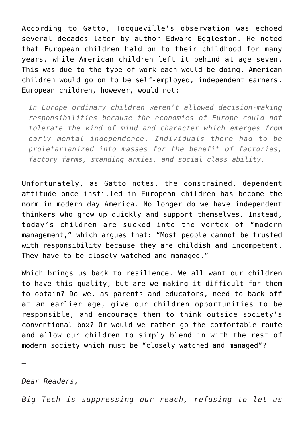According to Gatto, Tocqueville's observation was echoed several decades later by author Edward Eggleston. He noted that European children held on to their childhood for many years, while American children left it behind at age seven. This was due to the type of work each would be doing. American children would go on to be self-employed, independent earners. European children, however, would not:

*In Europe ordinary children weren't allowed decision-making responsibilities because the economies of Europe could not tolerate the kind of mind and character which emerges from early mental independence. Individuals there had to be proletarianized into masses for the benefit of factories, factory farms, standing armies, and social class ability.*

Unfortunately, as Gatto notes, the constrained, dependent attitude once instilled in European children has become the norm in modern day America. No longer do we have independent thinkers who grow up quickly and support themselves. Instead, today's children are sucked into the vortex of "modern management," which argues that: "Most people cannot be trusted with responsibility because they are childish and incompetent. They have to be closely watched and managed."

Which brings us back to resilience. We all want our children to have this quality, but are we making it difficult for them to obtain? Do we, as parents and educators, need to back off at an earlier age, give our children opportunities to be responsible, and encourage them to think outside society's conventional box? Or would we rather go the comfortable route and allow our children to simply blend in with the rest of modern society which must be "closely watched and managed"?

*Dear Readers,*

—

*Big Tech is suppressing our reach, refusing to let us*